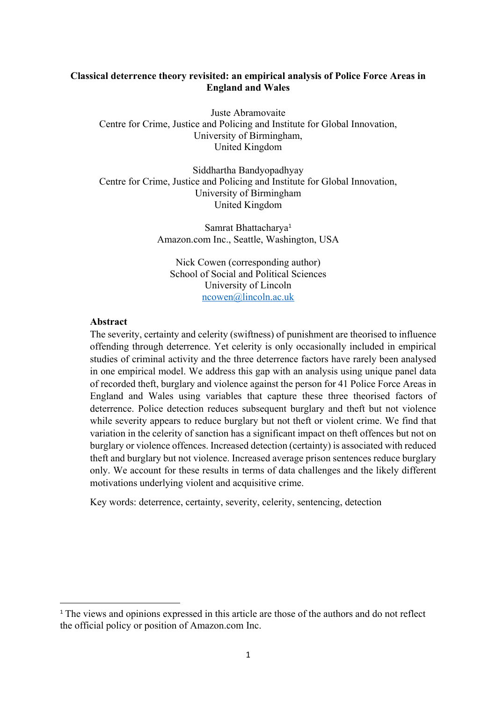## **Classical deterrence theory revisited: an empirical analysis of Police Force Areas in England and Wales**

Juste Abramovaite Centre for Crime, Justice and Policing and Institute for Global Innovation, University of Birmingham, United Kingdom

Siddhartha Bandyopadhyay Centre for Crime, Justice and Policing and Institute for Global Innovation, University of Birmingham United Kingdom

> Samrat Bhattacharya<sup>1</sup> Amazon.com Inc., Seattle, Washington, USA

Nick Cowen (corresponding author) School of Social and Political Sciences University of Lincoln ncowen@lincoln.ac.uk

## **Abstract**

The severity, certainty and celerity (swiftness) of punishment are theorised to influence offending through deterrence. Yet celerity is only occasionally included in empirical studies of criminal activity and the three deterrence factors have rarely been analysed in one empirical model. We address this gap with an analysis using unique panel data of recorded theft, burglary and violence against the person for 41 Police Force Areas in England and Wales using variables that capture these three theorised factors of deterrence. Police detection reduces subsequent burglary and theft but not violence while severity appears to reduce burglary but not theft or violent crime. We find that variation in the celerity of sanction has a significant impact on theft offences but not on burglary or violence offences. Increased detection (certainty) is associated with reduced theft and burglary but not violence. Increased average prison sentences reduce burglary only. We account for these results in terms of data challenges and the likely different motivations underlying violent and acquisitive crime.

Key words: deterrence, certainty, severity, celerity, sentencing, detection

<sup>&</sup>lt;sup>1</sup> The views and opinions expressed in this article are those of the authors and do not reflect the official policy or position of Amazon.com Inc.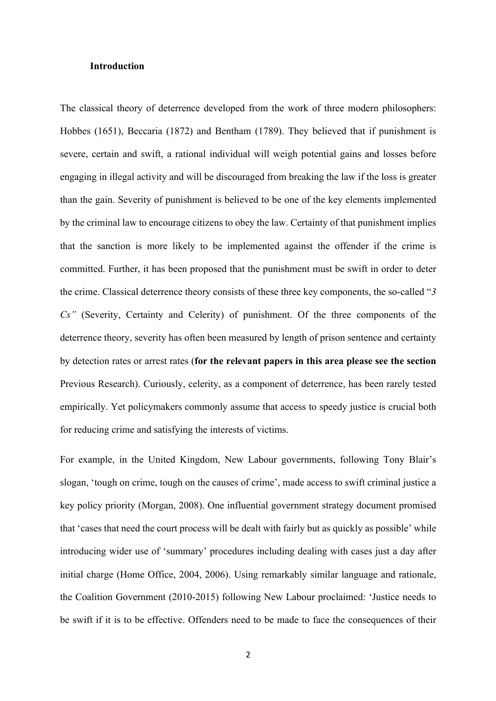#### **Introduction**

The classical theory of deterrence developed from the work of three modern philosophers: Hobbes (1651), Beccaria (1872) and Bentham (1789). They believed that if punishment is severe, certain and swift, a rational individual will weigh potential gains and losses before engaging in illegal activity and will be discouraged from breaking the law if the loss is greater than the gain. Severity of punishment is believed to be one of the key elements implemented by the criminal law to encourage citizens to obey the law. Certainty of that punishment implies that the sanction is more likely to be implemented against the offender if the crime is committed. Further, it has been proposed that the punishment must be swift in order to deter the crime. Classical deterrence theory consists of these three key components, the so-called "*3 Cs"* (Severity, Certainty and Celerity) of punishment. Of the three components of the deterrence theory, severity has often been measured by length of prison sentence and certainty by detection rates or arrest rates (**for the relevant papers in this area please see the section** Previous Research). Curiously, celerity, as a component of deterrence, has been rarely tested empirically. Yet policymakers commonly assume that access to speedy justice is crucial both for reducing crime and satisfying the interests of victims.

For example, in the United Kingdom, New Labour governments, following Tony Blair's slogan, 'tough on crime, tough on the causes of crime', made access to swift criminal justice a key policy priority (Morgan, 2008). One influential government strategy document promised that 'cases that need the court process will be dealt with fairly but as quickly as possible' while introducing wider use of 'summary' procedures including dealing with cases just a day after initial charge (Home Office, 2004, 2006). Using remarkably similar language and rationale, the Coalition Government (2010-2015) following New Labour proclaimed: 'Justice needs to be swift if it is to be effective. Offenders need to be made to face the consequences of their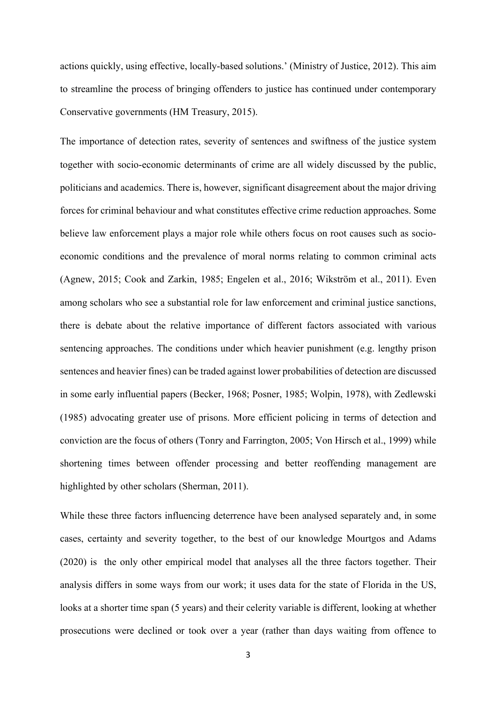actions quickly, using effective, locally-based solutions.' (Ministry of Justice, 2012). This aim to streamline the process of bringing offenders to justice has continued under contemporary Conservative governments (HM Treasury, 2015).

The importance of detection rates, severity of sentences and swiftness of the justice system together with socio-economic determinants of crime are all widely discussed by the public, politicians and academics. There is, however, significant disagreement about the major driving forces for criminal behaviour and what constitutes effective crime reduction approaches. Some believe law enforcement plays a major role while others focus on root causes such as socioeconomic conditions and the prevalence of moral norms relating to common criminal acts (Agnew, 2015; Cook and Zarkin, 1985; Engelen et al., 2016; Wikström et al., 2011). Even among scholars who see a substantial role for law enforcement and criminal justice sanctions, there is debate about the relative importance of different factors associated with various sentencing approaches. The conditions under which heavier punishment (e.g. lengthy prison sentences and heavier fines) can be traded against lower probabilities of detection are discussed in some early influential papers (Becker, 1968; Posner, 1985; Wolpin, 1978), with Zedlewski (1985) advocating greater use of prisons. More efficient policing in terms of detection and conviction are the focus of others (Tonry and Farrington, 2005; Von Hirsch et al., 1999) while shortening times between offender processing and better reoffending management are highlighted by other scholars (Sherman, 2011).

While these three factors influencing deterrence have been analysed separately and, in some cases, certainty and severity together, to the best of our knowledge Mourtgos and Adams (2020) is the only other empirical model that analyses all the three factors together. Their analysis differs in some ways from our work; it uses data for the state of Florida in the US, looks at a shorter time span (5 years) and their celerity variable is different, looking at whether prosecutions were declined or took over a year (rather than days waiting from offence to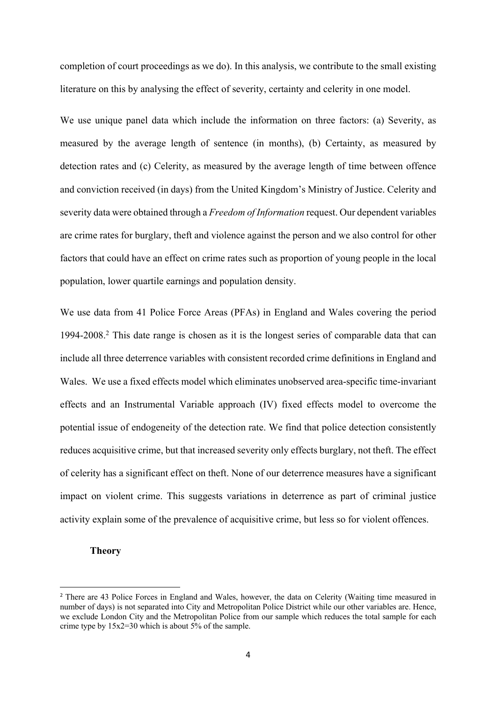completion of court proceedings as we do). In this analysis, we contribute to the small existing literature on this by analysing the effect of severity, certainty and celerity in one model.

We use unique panel data which include the information on three factors: (a) Severity, as measured by the average length of sentence (in months), (b) Certainty, as measured by detection rates and (c) Celerity, as measured by the average length of time between offence and conviction received (in days) from the United Kingdom's Ministry of Justice. Celerity and severity data were obtained through a *Freedom of Information* request. Our dependent variables are crime rates for burglary, theft and violence against the person and we also control for other factors that could have an effect on crime rates such as proportion of young people in the local population, lower quartile earnings and population density.

We use data from 41 Police Force Areas (PFAs) in England and Wales covering the period 1994-2008.2 This date range is chosen as it is the longest series of comparable data that can include all three deterrence variables with consistent recorded crime definitions in England and Wales. We use a fixed effects model which eliminates unobserved area-specific time-invariant effects and an Instrumental Variable approach (IV) fixed effects model to overcome the potential issue of endogeneity of the detection rate. We find that police detection consistently reduces acquisitive crime, but that increased severity only effects burglary, not theft. The effect of celerity has a significant effect on theft. None of our deterrence measures have a significant impact on violent crime. This suggests variations in deterrence as part of criminal justice activity explain some of the prevalence of acquisitive crime, but less so for violent offences.

## **Theory**

<sup>&</sup>lt;sup>2</sup> There are 43 Police Forces in England and Wales, however, the data on Celerity (Waiting time measured in number of days) is not separated into City and Metropolitan Police District while our other variables are. Hence, we exclude London City and the Metropolitan Police from our sample which reduces the total sample for each crime type by  $15x2=30$  which is about 5% of the sample.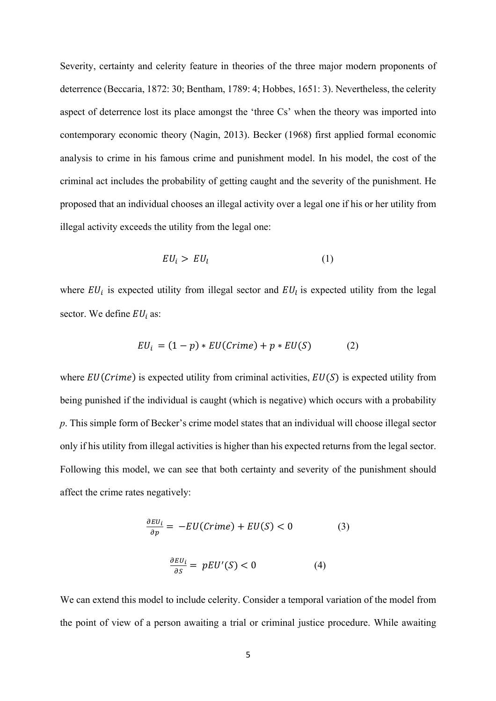Severity, certainty and celerity feature in theories of the three major modern proponents of deterrence (Beccaria, 1872: 30; Bentham, 1789: 4; Hobbes, 1651: 3). Nevertheless, the celerity aspect of deterrence lost its place amongst the 'three Cs' when the theory was imported into contemporary economic theory (Nagin, 2013). Becker (1968) first applied formal economic analysis to crime in his famous crime and punishment model. In his model, the cost of the criminal act includes the probability of getting caught and the severity of the punishment. He proposed that an individual chooses an illegal activity over a legal one if his or her utility from illegal activity exceeds the utility from the legal one:

$$
EU_i > EU_l \tag{1}
$$

where  $EU_i$  is expected utility from illegal sector and  $EU_i$  is expected utility from the legal sector. We define  $EU_i$  as:

$$
EU_i = (1 - p) * EU(Crime) + p * EU(S)
$$
 (2)

where  $EU(Crime)$  is expected utility from criminal activities,  $EU(S)$  is expected utility from being punished if the individual is caught (which is negative) which occurs with a probability *p*. This simple form of Becker's crime model states that an individual will choose illegal sector only if his utility from illegal activities is higher than his expected returns from the legal sector. Following this model, we can see that both certainty and severity of the punishment should affect the crime rates negatively:

$$
\frac{\partial EU_i}{\partial p} = -EU(Crime) + EU(S) < 0 \tag{3}
$$
\n
$$
\frac{\partial EU_i}{\partial S} = pEU'(S) < 0 \tag{4}
$$

We can extend this model to include celerity. Consider a temporal variation of the model from the point of view of a person awaiting a trial or criminal justice procedure. While awaiting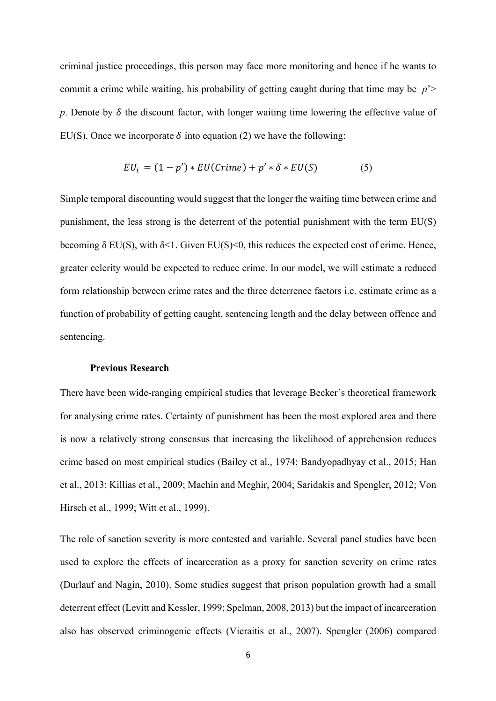criminal justice proceedings, this person may face more monitoring and hence if he wants to commit a crime while waiting, his probability of getting caught during that time may be *p*'> p. Denote by  $\delta$  the discount factor, with longer waiting time lowering the effective value of EU(S). Once we incorporate  $\delta$  into equation (2) we have the following:

$$
EU_i = (1 - p') * EU(Crime) + p' * \delta * EU(S)
$$
 (5)

Simple temporal discounting would suggest that the longer the waiting time between crime and punishment, the less strong is the deterrent of the potential punishment with the term EU(S) becoming  $\delta$  EU(S), with  $\delta$ <1. Given EU(S)<0, this reduces the expected cost of crime. Hence, greater celerity would be expected to reduce crime. In our model, we will estimate a reduced form relationship between crime rates and the three deterrence factors i.e. estimate crime as a function of probability of getting caught, sentencing length and the delay between offence and sentencing.

#### **Previous Research**

There have been wide-ranging empirical studies that leverage Becker's theoretical framework for analysing crime rates. Certainty of punishment has been the most explored area and there is now a relatively strong consensus that increasing the likelihood of apprehension reduces crime based on most empirical studies (Bailey et al., 1974; Bandyopadhyay et al., 2015; Han et al., 2013; Killias et al., 2009; Machin and Meghir, 2004; Saridakis and Spengler, 2012; Von Hirsch et al., 1999; Witt et al., 1999).

The role of sanction severity is more contested and variable. Several panel studies have been used to explore the effects of incarceration as a proxy for sanction severity on crime rates (Durlauf and Nagin, 2010). Some studies suggest that prison population growth had a small deterrent effect (Levitt and Kessler, 1999; Spelman, 2008, 2013) but the impact of incarceration also has observed criminogenic effects (Vieraitis et al., 2007). Spengler (2006) compared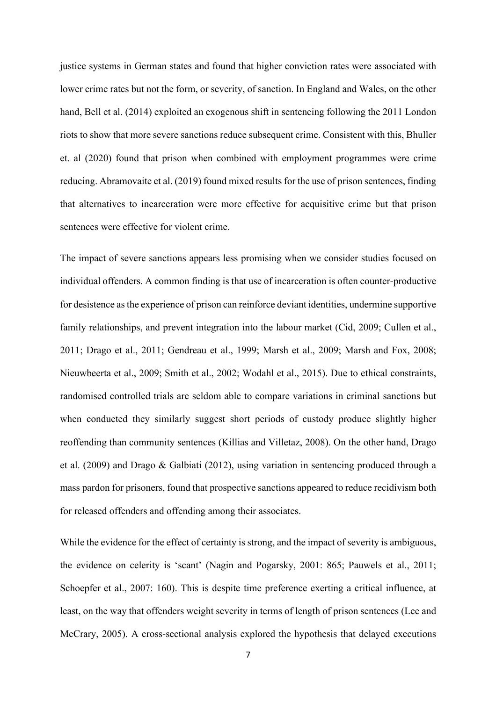justice systems in German states and found that higher conviction rates were associated with lower crime rates but not the form, or severity, of sanction. In England and Wales, on the other hand, Bell et al. (2014) exploited an exogenous shift in sentencing following the 2011 London riots to show that more severe sanctions reduce subsequent crime. Consistent with this, Bhuller et. al (2020) found that prison when combined with employment programmes were crime reducing. Abramovaite et al. (2019) found mixed results for the use of prison sentences, finding that alternatives to incarceration were more effective for acquisitive crime but that prison sentences were effective for violent crime.

The impact of severe sanctions appears less promising when we consider studies focused on individual offenders. A common finding is that use of incarceration is often counter-productive for desistence as the experience of prison can reinforce deviant identities, undermine supportive family relationships, and prevent integration into the labour market (Cid, 2009; Cullen et al., 2011; Drago et al., 2011; Gendreau et al., 1999; Marsh et al., 2009; Marsh and Fox, 2008; Nieuwbeerta et al., 2009; Smith et al., 2002; Wodahl et al., 2015). Due to ethical constraints, randomised controlled trials are seldom able to compare variations in criminal sanctions but when conducted they similarly suggest short periods of custody produce slightly higher reoffending than community sentences (Killias and Villetaz, 2008). On the other hand, Drago et al. (2009) and Drago & Galbiati (2012), using variation in sentencing produced through a mass pardon for prisoners, found that prospective sanctions appeared to reduce recidivism both for released offenders and offending among their associates.

While the evidence for the effect of certainty is strong, and the impact of severity is ambiguous, the evidence on celerity is 'scant' (Nagin and Pogarsky, 2001: 865; Pauwels et al., 2011; Schoepfer et al., 2007: 160). This is despite time preference exerting a critical influence, at least, on the way that offenders weight severity in terms of length of prison sentences (Lee and McCrary, 2005). A cross-sectional analysis explored the hypothesis that delayed executions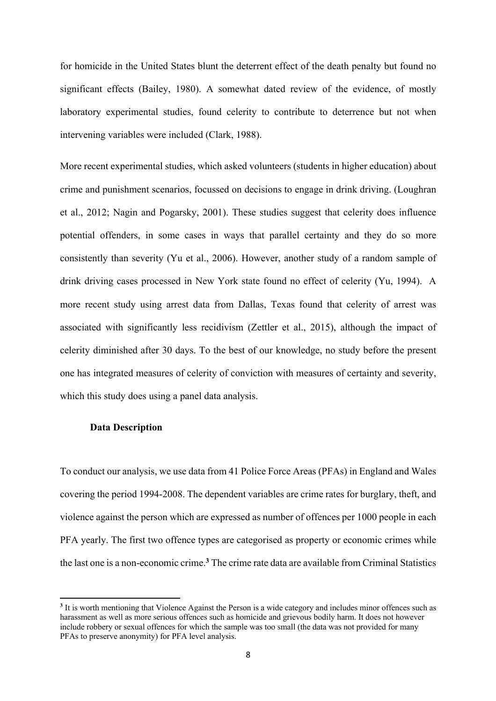for homicide in the United States blunt the deterrent effect of the death penalty but found no significant effects (Bailey, 1980). A somewhat dated review of the evidence, of mostly laboratory experimental studies, found celerity to contribute to deterrence but not when intervening variables were included (Clark, 1988).

More recent experimental studies, which asked volunteers (students in higher education) about crime and punishment scenarios, focussed on decisions to engage in drink driving. (Loughran et al., 2012; Nagin and Pogarsky, 2001). These studies suggest that celerity does influence potential offenders, in some cases in ways that parallel certainty and they do so more consistently than severity (Yu et al., 2006). However, another study of a random sample of drink driving cases processed in New York state found no effect of celerity (Yu, 1994). A more recent study using arrest data from Dallas, Texas found that celerity of arrest was associated with significantly less recidivism (Zettler et al., 2015), although the impact of celerity diminished after 30 days. To the best of our knowledge, no study before the present one has integrated measures of celerity of conviction with measures of certainty and severity, which this study does using a panel data analysis.

### **Data Description**

To conduct our analysis, we use data from 41 Police Force Areas (PFAs) in England and Wales covering the period 1994-2008. The dependent variables are crime rates for burglary, theft, and violence against the person which are expressed as number of offences per 1000 people in each PFA yearly. The first two offence types are categorised as property or economic crimes while the last one is a non-economic crime. **<sup>3</sup>** The crime rate data are available from Criminal Statistics

**<sup>3</sup>** It is worth mentioning that Violence Against the Person is a wide category and includes minor offences such as harassment as well as more serious offences such as homicide and grievous bodily harm. It does not however include robbery or sexual offences for which the sample was too small (the data was not provided for many PFAs to preserve anonymity) for PFA level analysis.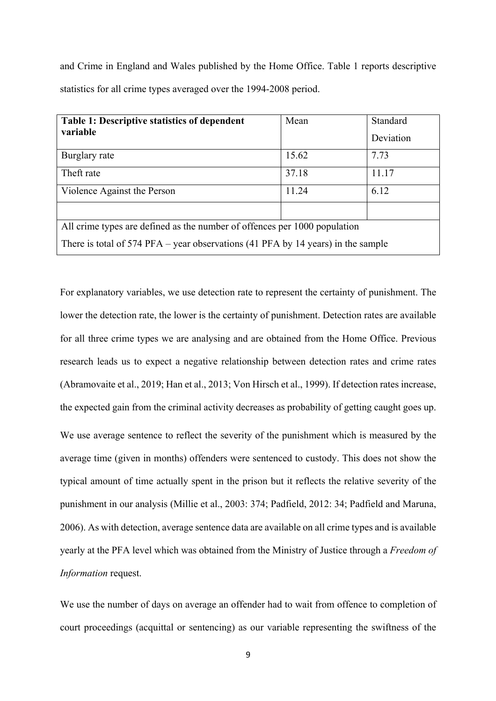and Crime in England and Wales published by the Home Office. Table 1 reports descriptive statistics for all crime types averaged over the 1994-2008 period.

| <b>Table 1: Descriptive statistics of dependent</b>                                | Mean  | Standard  |  |  |
|------------------------------------------------------------------------------------|-------|-----------|--|--|
| variable                                                                           |       | Deviation |  |  |
| Burglary rate                                                                      | 15.62 | 7.73      |  |  |
| Theft rate                                                                         | 37.18 | 11.17     |  |  |
| Violence Against the Person                                                        | 11.24 | 6.12      |  |  |
|                                                                                    |       |           |  |  |
| All crime types are defined as the number of offences per 1000 population          |       |           |  |  |
| There is total of $574$ PFA – year observations (41 PFA by 14 years) in the sample |       |           |  |  |

For explanatory variables, we use detection rate to represent the certainty of punishment. The lower the detection rate, the lower is the certainty of punishment. Detection rates are available for all three crime types we are analysing and are obtained from the Home Office. Previous research leads us to expect a negative relationship between detection rates and crime rates (Abramovaite et al., 2019; Han et al., 2013; Von Hirsch et al., 1999). If detection rates increase, the expected gain from the criminal activity decreases as probability of getting caught goes up. We use average sentence to reflect the severity of the punishment which is measured by the average time (given in months) offenders were sentenced to custody. This does not show the typical amount of time actually spent in the prison but it reflects the relative severity of the punishment in our analysis (Millie et al., 2003: 374; Padfield, 2012: 34; Padfield and Maruna, 2006). As with detection, average sentence data are available on all crime types and is available yearly at the PFA level which was obtained from the Ministry of Justice through a *Freedom of Information* request.

We use the number of days on average an offender had to wait from offence to completion of court proceedings (acquittal or sentencing) as our variable representing the swiftness of the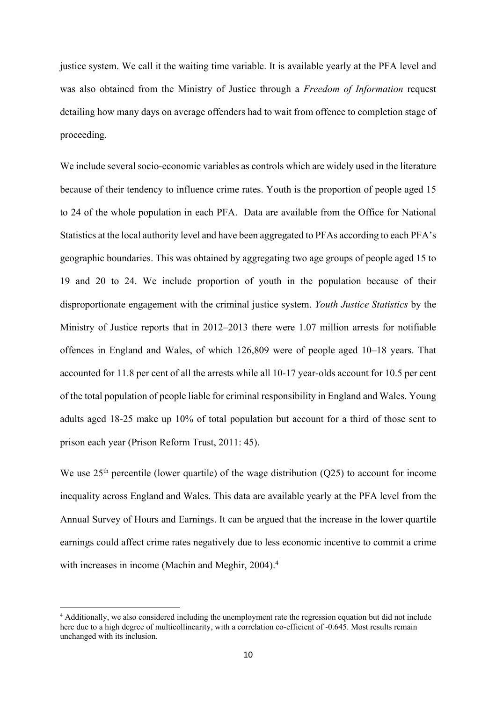justice system. We call it the waiting time variable. It is available yearly at the PFA level and was also obtained from the Ministry of Justice through a *Freedom of Information* request detailing how many days on average offenders had to wait from offence to completion stage of proceeding.

We include several socio-economic variables as controls which are widely used in the literature because of their tendency to influence crime rates. Youth is the proportion of people aged 15 to 24 of the whole population in each PFA. Data are available from the Office for National Statistics at the local authority level and have been aggregated to PFAs according to each PFA's geographic boundaries. This was obtained by aggregating two age groups of people aged 15 to 19 and 20 to 24. We include proportion of youth in the population because of their disproportionate engagement with the criminal justice system. *Youth Justice Statistics* by the Ministry of Justice reports that in 2012–2013 there were 1.07 million arrests for notifiable offences in England and Wales, of which 126,809 were of people aged 10–18 years. That accounted for 11.8 per cent of all the arrests while all 10-17 year-olds account for 10.5 per cent of the total population of people liable for criminal responsibility in England and Wales. Young adults aged 18-25 make up 10% of total population but account for a third of those sent to prison each year (Prison Reform Trust, 2011: 45).

We use  $25<sup>th</sup>$  percentile (lower quartile) of the wage distribution (Q25) to account for income inequality across England and Wales. This data are available yearly at the PFA level from the Annual Survey of Hours and Earnings. It can be argued that the increase in the lower quartile earnings could affect crime rates negatively due to less economic incentive to commit a crime with increases in income (Machin and Meghir, 2004). 4

<sup>4</sup> Additionally, we also considered including the unemployment rate the regression equation but did not include here due to a high degree of multicollinearity, with a correlation co-efficient of -0.645. Most results remain unchanged with its inclusion.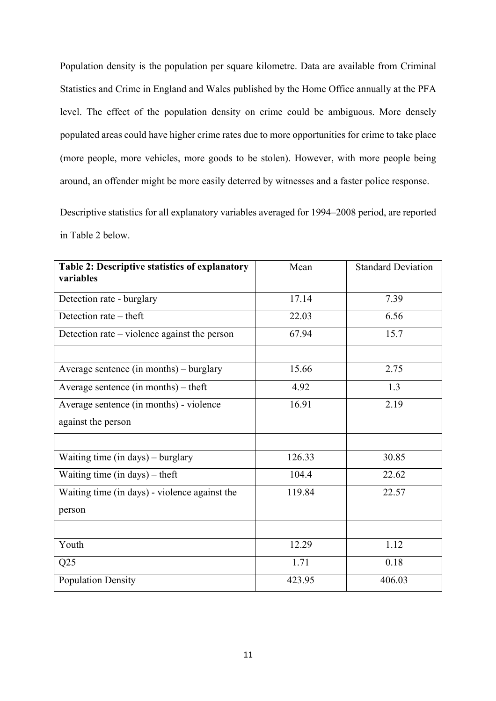Population density is the population per square kilometre. Data are available from Criminal Statistics and Crime in England and Wales published by the Home Office annually at the PFA level. The effect of the population density on crime could be ambiguous. More densely populated areas could have higher crime rates due to more opportunities for crime to take place (more people, more vehicles, more goods to be stolen). However, with more people being around, an offender might be more easily deterred by witnesses and a faster police response.

Descriptive statistics for all explanatory variables averaged for 1994–2008 period, are reported in Table 2 below.

| Table 2: Descriptive statistics of explanatory<br>variables | Mean   | <b>Standard Deviation</b> |
|-------------------------------------------------------------|--------|---------------------------|
| Detection rate - burglary                                   | 17.14  | 7.39                      |
| Detection rate - theft                                      | 22.03  | 6.56                      |
| Detection rate – violence against the person                | 67.94  | 15.7                      |
|                                                             |        |                           |
| Average sentence (in months) – burglary                     | 15.66  | 2.75                      |
| Average sentence (in months) $-$ theft                      | 4.92   | 1.3                       |
| Average sentence (in months) - violence                     | 16.91  | 2.19                      |
| against the person                                          |        |                           |
|                                                             |        |                           |
| Waiting time (in days) – burglary                           | 126.33 | 30.85                     |
| Waiting time (in days) – theft                              | 104.4  | 22.62                     |
| Waiting time (in days) - violence against the               | 119.84 | 22.57                     |
| person                                                      |        |                           |
|                                                             |        |                           |
| Youth                                                       | 12.29  | 1.12                      |
| Q25                                                         | 1.71   | 0.18                      |
| <b>Population Density</b>                                   | 423.95 | 406.03                    |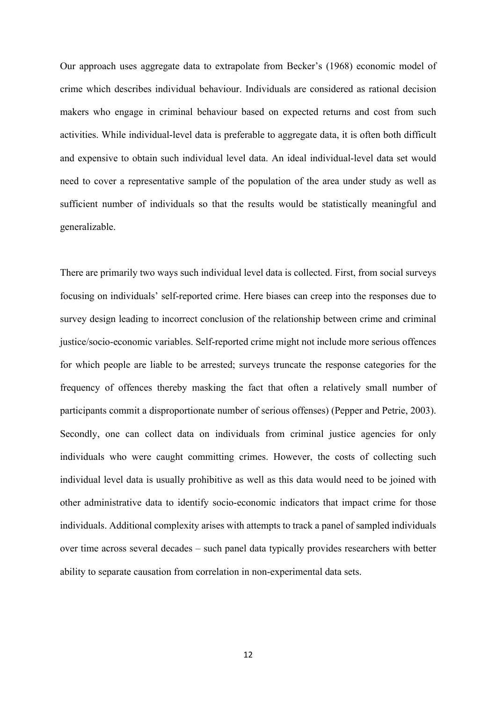Our approach uses aggregate data to extrapolate from Becker's (1968) economic model of crime which describes individual behaviour. Individuals are considered as rational decision makers who engage in criminal behaviour based on expected returns and cost from such activities. While individual-level data is preferable to aggregate data, it is often both difficult and expensive to obtain such individual level data. An ideal individual-level data set would need to cover a representative sample of the population of the area under study as well as sufficient number of individuals so that the results would be statistically meaningful and generalizable.

There are primarily two ways such individual level data is collected. First, from social surveys focusing on individuals' self-reported crime. Here biases can creep into the responses due to survey design leading to incorrect conclusion of the relationship between crime and criminal justice/socio-economic variables. Self-reported crime might not include more serious offences for which people are liable to be arrested; surveys truncate the response categories for the frequency of offences thereby masking the fact that often a relatively small number of participants commit a disproportionate number of serious offenses) (Pepper and Petrie, 2003). Secondly, one can collect data on individuals from criminal justice agencies for only individuals who were caught committing crimes. However, the costs of collecting such individual level data is usually prohibitive as well as this data would need to be joined with other administrative data to identify socio-economic indicators that impact crime for those individuals. Additional complexity arises with attempts to track a panel of sampled individuals over time across several decades – such panel data typically provides researchers with better ability to separate causation from correlation in non-experimental data sets.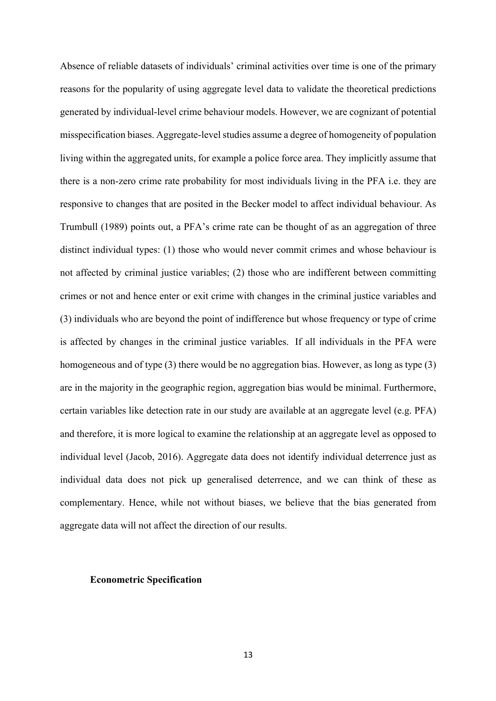Absence of reliable datasets of individuals' criminal activities over time is one of the primary reasons for the popularity of using aggregate level data to validate the theoretical predictions generated by individual-level crime behaviour models. However, we are cognizant of potential misspecification biases. Aggregate-level studies assume a degree of homogeneity of population living within the aggregated units, for example a police force area. They implicitly assume that there is a non-zero crime rate probability for most individuals living in the PFA i.e. they are responsive to changes that are posited in the Becker model to affect individual behaviour. As Trumbull (1989) points out, a PFA's crime rate can be thought of as an aggregation of three distinct individual types: (1) those who would never commit crimes and whose behaviour is not affected by criminal justice variables; (2) those who are indifferent between committing crimes or not and hence enter or exit crime with changes in the criminal justice variables and (3) individuals who are beyond the point of indifference but whose frequency or type of crime is affected by changes in the criminal justice variables. If all individuals in the PFA were homogeneous and of type (3) there would be no aggregation bias. However, as long as type (3) are in the majority in the geographic region, aggregation bias would be minimal. Furthermore, certain variables like detection rate in our study are available at an aggregate level (e.g. PFA) and therefore, it is more logical to examine the relationship at an aggregate level as opposed to individual level (Jacob, 2016). Aggregate data does not identify individual deterrence just as individual data does not pick up generalised deterrence, and we can think of these as complementary. Hence, while not without biases, we believe that the bias generated from aggregate data will not affect the direction of our results.

#### **Econometric Specification**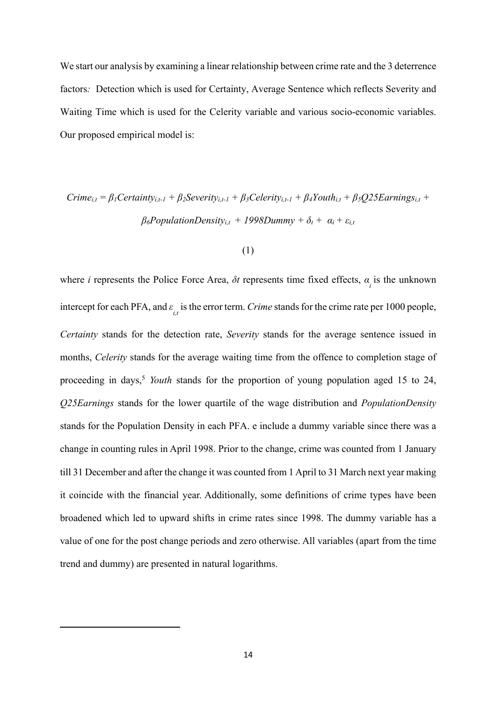We start our analysis by examining a linear relationship between crime rate and the 3 deterrence factors*:* Detection which is used for Certainty, Average Sentence which reflects Severity and Waiting Time which is used for the Celerity variable and various socio-economic variables. Our proposed empirical model is:

# $C$ rime<sub>i,t</sub> =  $\beta_1$ Certainty<sub>i,t-1</sub> +  $\beta_2$ Severity<sub>i,t-1</sub> +  $\beta_3$ Celerity<sub>i,t-1</sub> +  $\beta_4$ Youth<sub>i,t</sub> +  $\beta_5Q$ 25Earnings<sub>i,t</sub> +  $\beta_6$ *PopulationDensity*<sub>i,t</sub> + 1998Dummy +  $\delta_t$  +  $\alpha_i$  +  $\varepsilon_{i,t}$

## (1)

where *i* represents the Police Force Area,  $\delta t$  represents time fixed effects,  $\alpha_i$  is the unknown intercept for each PFA, and  $\varepsilon$ <sub>*i,t*</sub> is the error term. *Crime* stands for the crime rate per 1000 people, *Certainty* stands for the detection rate, *Severity* stands for the average sentence issued in months, *Celerity* stands for the average waiting time from the offence to completion stage of proceeding in days, <sup>5</sup> *Youth* stands for the proportion of young population aged 15 to 24, *Q25Earnings* stands for the lower quartile of the wage distribution and *PopulationDensity* stands for the Population Density in each PFA. e include a dummy variable since there was a change in counting rules in April 1998. Prior to the change, crime was counted from 1 January till 31 December and after the change it was counted from 1 April to 31 March next year making it coincide with the financial year. Additionally, some definitions of crime types have been broadened which led to upward shifts in crime rates since 1998. The dummy variable has a value of one for the post change periods and zero otherwise. All variables (apart from the time trend and dummy) are presented in natural logarithms.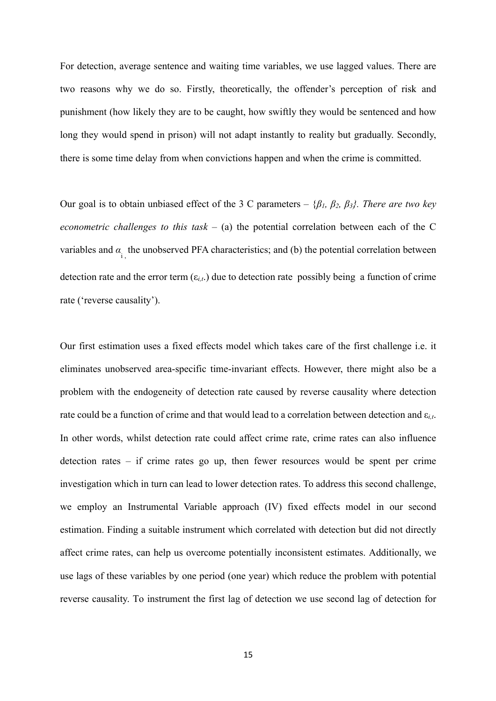For detection, average sentence and waiting time variables, we use lagged values. There are two reasons why we do so. Firstly, theoretically, the offender's perception of risk and punishment (how likely they are to be caught, how swiftly they would be sentenced and how long they would spend in prison) will not adapt instantly to reality but gradually. Secondly, there is some time delay from when convictions happen and when the crime is committed.

Our goal is to obtain unbiased effect of the 3 C parameters – {*β1, β2, β3}. There are two key econometric challenges to this task –* (a) the potential correlation between each of the C variables and  $\alpha_{i}$ , the unobserved PFA characteristics; and (b) the potential correlation between detection rate and the error term (ε*i,t*.) due to detection rate possibly being a function of crime rate ('reverse causality').

Our first estimation uses a fixed effects model which takes care of the first challenge i.e. it eliminates unobserved area-specific time-invariant effects. However, there might also be a problem with the endogeneity of detection rate caused by reverse causality where detection rate could be a function of crime and that would lead to a correlation between detection and ε*i,t*. In other words, whilst detection rate could affect crime rate, crime rates can also influence detection rates – if crime rates go up, then fewer resources would be spent per crime investigation which in turn can lead to lower detection rates. To address this second challenge, we employ an Instrumental Variable approach (IV) fixed effects model in our second estimation. Finding a suitable instrument which correlated with detection but did not directly affect crime rates, can help us overcome potentially inconsistent estimates. Additionally, we use lags of these variables by one period (one year) which reduce the problem with potential reverse causality. To instrument the first lag of detection we use second lag of detection for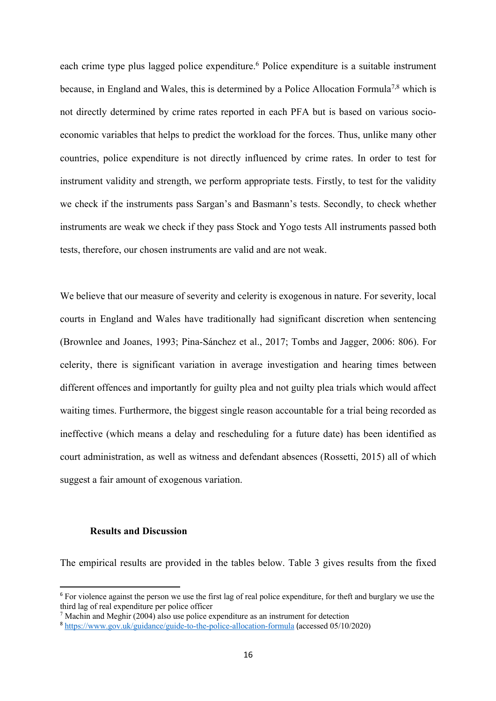each crime type plus lagged police expenditure.<sup>6</sup> Police expenditure is a suitable instrument because, in England and Wales, this is determined by a Police Allocation Formula<sup>7,8</sup> which is not directly determined by crime rates reported in each PFA but is based on various socioeconomic variables that helps to predict the workload for the forces. Thus, unlike many other countries, police expenditure is not directly influenced by crime rates. In order to test for instrument validity and strength, we perform appropriate tests. Firstly, to test for the validity we check if the instruments pass Sargan's and Basmann's tests. Secondly, to check whether instruments are weak we check if they pass Stock and Yogo tests All instruments passed both tests, therefore, our chosen instruments are valid and are not weak.

We believe that our measure of severity and celerity is exogenous in nature. For severity, local courts in England and Wales have traditionally had significant discretion when sentencing (Brownlee and Joanes, 1993; Pina-Sánchez et al., 2017; Tombs and Jagger, 2006: 806). For celerity, there is significant variation in average investigation and hearing times between different offences and importantly for guilty plea and not guilty plea trials which would affect waiting times. Furthermore, the biggest single reason accountable for a trial being recorded as ineffective (which means a delay and rescheduling for a future date) has been identified as court administration, as well as witness and defendant absences (Rossetti, 2015) all of which suggest a fair amount of exogenous variation.

#### **Results and Discussion**

The empirical results are provided in the tables below. Table 3 gives results from the fixed

<sup>&</sup>lt;sup>6</sup> For violence against the person we use the first lag of real police expenditure, for theft and burglary we use the third lag of real expenditure per police officer

 $\frac{7}{1}$  Machin and Meghir (2004) also use police expenditure as an instrument for detection

<sup>8</sup> https://www.gov.uk/guidance/guide-to-the-police-allocation-formula (accessed 05/10/2020)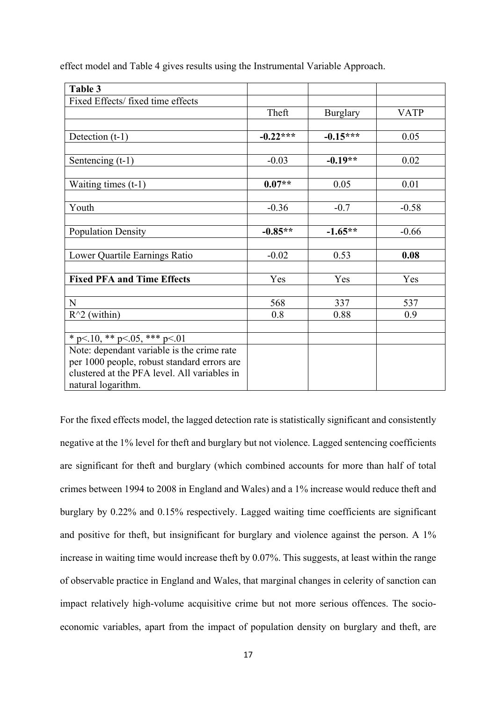effect model and Table 4 gives results using the Instrumental Variable Approach.

| Theft      | <b>Burglary</b>                                                  | <b>VATP</b>                                                            |
|------------|------------------------------------------------------------------|------------------------------------------------------------------------|
|            |                                                                  |                                                                        |
| $-0.22***$ | $-0.15***$                                                       | 0.05                                                                   |
|            |                                                                  |                                                                        |
| $-0.03$    |                                                                  | 0.02                                                                   |
|            |                                                                  |                                                                        |
|            |                                                                  | 0.01                                                                   |
|            |                                                                  |                                                                        |
|            |                                                                  | $-0.58$                                                                |
|            |                                                                  |                                                                        |
|            |                                                                  | $-0.66$                                                                |
|            |                                                                  |                                                                        |
|            |                                                                  | 0.08                                                                   |
|            |                                                                  |                                                                        |
|            |                                                                  | Yes                                                                    |
|            |                                                                  | 537                                                                    |
|            |                                                                  | 0.9                                                                    |
|            |                                                                  |                                                                        |
|            |                                                                  |                                                                        |
|            |                                                                  |                                                                        |
|            |                                                                  |                                                                        |
|            |                                                                  |                                                                        |
|            |                                                                  |                                                                        |
|            | $0.07**$<br>$-0.36$<br>$-0.85**$<br>$-0.02$<br>Yes<br>568<br>0.8 | $-0.19**$<br>0.05<br>$-0.7$<br>$-1.65**$<br>0.53<br>Yes<br>337<br>0.88 |

For the fixed effects model, the lagged detection rate is statistically significant and consistently negative at the 1% level for theft and burglary but not violence. Lagged sentencing coefficients are significant for theft and burglary (which combined accounts for more than half of total crimes between 1994 to 2008 in England and Wales) and a 1% increase would reduce theft and burglary by 0.22% and 0.15% respectively. Lagged waiting time coefficients are significant and positive for theft, but insignificant for burglary and violence against the person. A 1% increase in waiting time would increase theft by 0.07%. This suggests, at least within the range of observable practice in England and Wales, that marginal changes in celerity of sanction can impact relatively high-volume acquisitive crime but not more serious offences. The socioeconomic variables, apart from the impact of population density on burglary and theft, are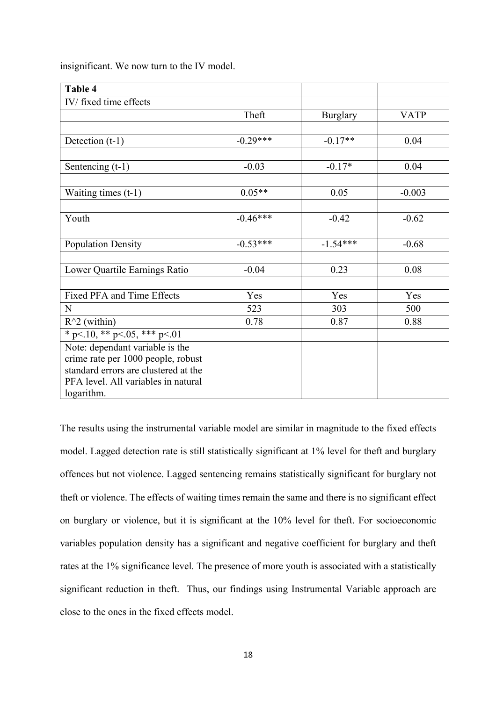| Table 4                              |            |                 |             |
|--------------------------------------|------------|-----------------|-------------|
| IV/ fixed time effects               |            |                 |             |
|                                      | Theft      | <b>Burglary</b> | <b>VATP</b> |
|                                      |            |                 |             |
| Detection (t-1)                      | $-0.29***$ | $-0.17**$       | 0.04        |
|                                      |            |                 |             |
| Sentencing (t-1)                     | $-0.03$    | $-0.17*$        | 0.04        |
|                                      |            |                 |             |
| Waiting times $(t-1)$                | $0.05**$   | 0.05            | $-0.003$    |
|                                      |            |                 |             |
| Youth                                | $-0.46***$ | $-0.42$         | $-0.62$     |
|                                      |            |                 |             |
| <b>Population Density</b>            | $-0.53***$ | $-1.54***$      | $-0.68$     |
|                                      |            |                 |             |
| Lower Quartile Earnings Ratio        | $-0.04$    | 0.23            | 0.08        |
|                                      |            |                 |             |
| Fixed PFA and Time Effects           | Yes        | Yes             | Yes         |
| $\mathbf N$                          | 523        | 303             | 500         |
| $R^2$ (within)                       | 0.78       | 0.87            | 0.88        |
| * p < 10, * * p < 05, * * * p < 01   |            |                 |             |
| Note: dependant variable is the      |            |                 |             |
| crime rate per 1000 people, robust   |            |                 |             |
| standard errors are clustered at the |            |                 |             |
| PFA level. All variables in natural  |            |                 |             |
| logarithm.                           |            |                 |             |

insignificant. We now turn to the IV model.

The results using the instrumental variable model are similar in magnitude to the fixed effects model. Lagged detection rate is still statistically significant at 1% level for theft and burglary offences but not violence. Lagged sentencing remains statistically significant for burglary not theft or violence. The effects of waiting times remain the same and there is no significant effect on burglary or violence, but it is significant at the 10% level for theft. For socioeconomic variables population density has a significant and negative coefficient for burglary and theft rates at the 1% significance level. The presence of more youth is associated with a statistically significant reduction in theft. Thus, our findings using Instrumental Variable approach are close to the ones in the fixed effects model.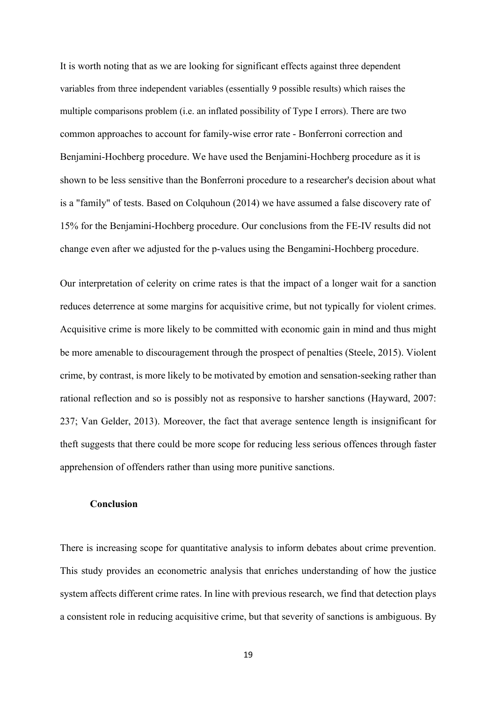It is worth noting that as we are looking for significant effects against three dependent variables from three independent variables (essentially 9 possible results) which raises the multiple comparisons problem (i.e. an inflated possibility of Type I errors). There are two common approaches to account for family-wise error rate - Bonferroni correction and Benjamini-Hochberg procedure. We have used the Benjamini-Hochberg procedure as it is shown to be less sensitive than the Bonferroni procedure to a researcher's decision about what is a "family" of tests. Based on Colquhoun (2014) we have assumed a false discovery rate of 15% for the Benjamini-Hochberg procedure. Our conclusions from the FE-IV results did not change even after we adjusted for the p-values using the Bengamini-Hochberg procedure.

Our interpretation of celerity on crime rates is that the impact of a longer wait for a sanction reduces deterrence at some margins for acquisitive crime, but not typically for violent crimes. Acquisitive crime is more likely to be committed with economic gain in mind and thus might be more amenable to discouragement through the prospect of penalties (Steele, 2015). Violent crime, by contrast, is more likely to be motivated by emotion and sensation-seeking rather than rational reflection and so is possibly not as responsive to harsher sanctions (Hayward, 2007: 237; Van Gelder, 2013). Moreover, the fact that average sentence length is insignificant for theft suggests that there could be more scope for reducing less serious offences through faster apprehension of offenders rather than using more punitive sanctions.

#### **Conclusion**

There is increasing scope for quantitative analysis to inform debates about crime prevention. This study provides an econometric analysis that enriches understanding of how the justice system affects different crime rates. In line with previous research, we find that detection plays a consistent role in reducing acquisitive crime, but that severity of sanctions is ambiguous. By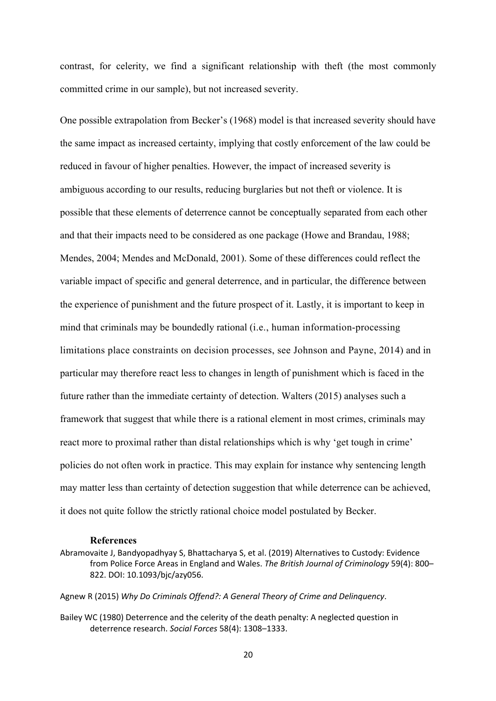contrast, for celerity, we find a significant relationship with theft (the most commonly committed crime in our sample), but not increased severity.

One possible extrapolation from Becker's (1968) model is that increased severity should have the same impact as increased certainty, implying that costly enforcement of the law could be reduced in favour of higher penalties. However, the impact of increased severity is ambiguous according to our results, reducing burglaries but not theft or violence. It is possible that these elements of deterrence cannot be conceptually separated from each other and that their impacts need to be considered as one package (Howe and Brandau, 1988; Mendes, 2004; Mendes and McDonald, 2001). Some of these differences could reflect the variable impact of specific and general deterrence, and in particular, the difference between the experience of punishment and the future prospect of it. Lastly, it is important to keep in mind that criminals may be boundedly rational (i.e., human information-processing limitations place constraints on decision processes, see Johnson and Payne, 2014) and in particular may therefore react less to changes in length of punishment which is faced in the future rather than the immediate certainty of detection. Walters (2015) analyses such a framework that suggest that while there is a rational element in most crimes, criminals may react more to proximal rather than distal relationships which is why 'get tough in crime' policies do not often work in practice. This may explain for instance why sentencing length may matter less than certainty of detection suggestion that while deterrence can be achieved, it does not quite follow the strictly rational choice model postulated by Becker.

#### **References**

Abramovaite J, Bandyopadhyay S, Bhattacharya S, et al. (2019) Alternatives to Custody: Evidence from Police Force Areas in England and Wales. *The British Journal of Criminology* 59(4): 800– 822. DOI: 10.1093/bjc/azy056.

Agnew R (2015) *Why Do Criminals Offend?: A General Theory of Crime and Delinquency*.

Bailey WC (1980) Deterrence and the celerity of the death penalty: A neglected question in deterrence research. *Social Forces* 58(4): 1308–1333.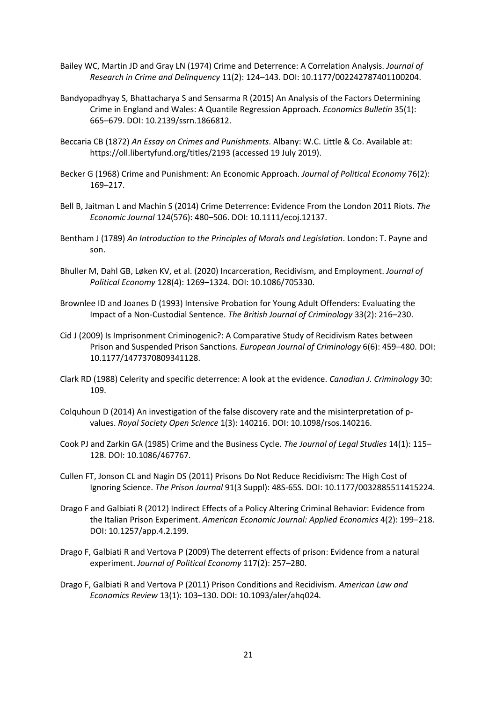- Bailey WC, Martin JD and Gray LN (1974) Crime and Deterrence: A Correlation Analysis. *Journal of Research in Crime and Delinquency* 11(2): 124–143. DOI: 10.1177/002242787401100204.
- Bandyopadhyay S, Bhattacharya S and Sensarma R (2015) An Analysis of the Factors Determining Crime in England and Wales: A Quantile Regression Approach. *Economics Bulletin* 35(1): 665–679. DOI: 10.2139/ssrn.1866812.
- Beccaria CB (1872) *An Essay on Crimes and Punishments*. Albany: W.C. Little & Co. Available at: https://oll.libertyfund.org/titles/2193 (accessed 19 July 2019).
- Becker G (1968) Crime and Punishment: An Economic Approach. *Journal of Political Economy* 76(2): 169–217.
- Bell B, Jaitman L and Machin S (2014) Crime Deterrence: Evidence From the London 2011 Riots. *The Economic Journal* 124(576): 480–506. DOI: 10.1111/ecoj.12137.
- Bentham J (1789) *An Introduction to the Principles of Morals and Legislation*. London: T. Payne and son.
- Bhuller M, Dahl GB, Løken KV, et al. (2020) Incarceration, Recidivism, and Employment. *Journal of Political Economy* 128(4): 1269–1324. DOI: 10.1086/705330.
- Brownlee ID and Joanes D (1993) Intensive Probation for Young Adult Offenders: Evaluating the Impact of a Non-Custodial Sentence. *The British Journal of Criminology* 33(2): 216–230.
- Cid J (2009) Is Imprisonment Criminogenic?: A Comparative Study of Recidivism Rates between Prison and Suspended Prison Sanctions. *European Journal of Criminology* 6(6): 459–480. DOI: 10.1177/1477370809341128.
- Clark RD (1988) Celerity and specific deterrence: A look at the evidence. *Canadian J. Criminology* 30: 109.
- Colquhoun D (2014) An investigation of the false discovery rate and the misinterpretation of pvalues. *Royal Society Open Science* 1(3): 140216. DOI: 10.1098/rsos.140216.
- Cook PJ and Zarkin GA (1985) Crime and the Business Cycle. *The Journal of Legal Studies* 14(1): 115– 128. DOI: 10.1086/467767.
- Cullen FT, Jonson CL and Nagin DS (2011) Prisons Do Not Reduce Recidivism: The High Cost of Ignoring Science. *The Prison Journal* 91(3 Suppl): 48S-65S. DOI: 10.1177/0032885511415224.
- Drago F and Galbiati R (2012) Indirect Effects of a Policy Altering Criminal Behavior: Evidence from the Italian Prison Experiment. *American Economic Journal: Applied Economics* 4(2): 199–218. DOI: 10.1257/app.4.2.199.
- Drago F, Galbiati R and Vertova P (2009) The deterrent effects of prison: Evidence from a natural experiment. *Journal of Political Economy* 117(2): 257–280.
- Drago F, Galbiati R and Vertova P (2011) Prison Conditions and Recidivism. *American Law and Economics Review* 13(1): 103–130. DOI: 10.1093/aler/ahq024.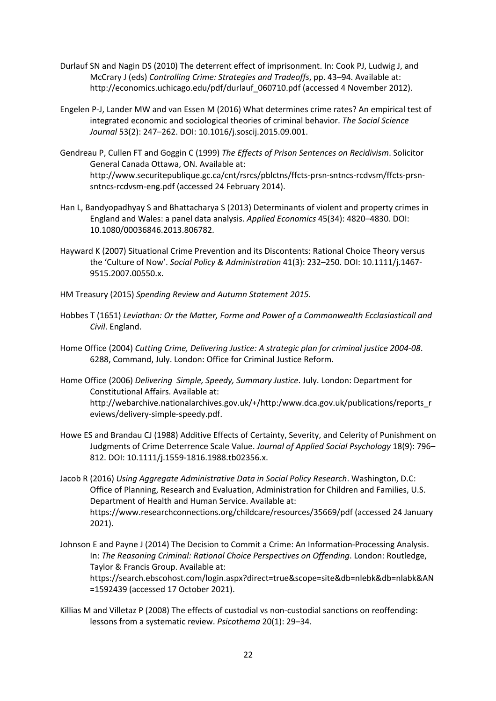- Durlauf SN and Nagin DS (2010) The deterrent effect of imprisonment. In: Cook PJ, Ludwig J, and McCrary J (eds) *Controlling Crime: Strategies and Tradeoffs*, pp. 43–94. Available at: http://economics.uchicago.edu/pdf/durlauf 060710.pdf (accessed 4 November 2012).
- Engelen P-J, Lander MW and van Essen M (2016) What determines crime rates? An empirical test of integrated economic and sociological theories of criminal behavior. *The Social Science Journal* 53(2): 247–262. DOI: 10.1016/j.soscij.2015.09.001.
- Gendreau P, Cullen FT and Goggin C (1999) *The Effects of Prison Sentences on Recidivism*. Solicitor General Canada Ottawa, ON. Available at: http://www.securitepublique.gc.ca/cnt/rsrcs/pblctns/ffcts-prsn-sntncs-rcdvsm/ffcts-prsnsntncs-rcdvsm-eng.pdf (accessed 24 February 2014).
- Han L, Bandyopadhyay S and Bhattacharya S (2013) Determinants of violent and property crimes in England and Wales: a panel data analysis. *Applied Economics* 45(34): 4820–4830. DOI: 10.1080/00036846.2013.806782.
- Hayward K (2007) Situational Crime Prevention and its Discontents: Rational Choice Theory versus the 'Culture of Now'. *Social Policy & Administration* 41(3): 232–250. DOI: 10.1111/j.1467- 9515.2007.00550.x.
- HM Treasury (2015) *Spending Review and Autumn Statement 2015*.
- Hobbes T (1651) *Leviathan: Or the Matter, Forme and Power of a Commonwealth Ecclasiasticall and Civil*. England.
- Home Office (2004) *Cutting Crime, Delivering Justice: A strategic plan for criminal justice 2004-08*. 6288, Command, July. London: Office for Criminal Justice Reform.
- Home Office (2006) *Delivering Simple, Speedy, Summary Justice*. July. London: Department for Constitutional Affairs. Available at: http://webarchive.nationalarchives.gov.uk/+/http:/www.dca.gov.uk/publications/reports\_r eviews/delivery-simple-speedy.pdf.
- Howe ES and Brandau CJ (1988) Additive Effects of Certainty, Severity, and Celerity of Punishment on Judgments of Crime Deterrence Scale Value. *Journal of Applied Social Psychology* 18(9): 796– 812. DOI: 10.1111/j.1559-1816.1988.tb02356.x.
- Jacob R (2016) *Using Aggregate Administrative Data in Social Policy Research*. Washington, D.C: Office of Planning, Research and Evaluation, Administration for Children and Families, U.S. Department of Health and Human Service. Available at: https://www.researchconnections.org/childcare/resources/35669/pdf (accessed 24 January 2021).
- Johnson E and Payne J (2014) The Decision to Commit a Crime: An Information-Processing Analysis. In: *The Reasoning Criminal: Rational Choice Perspectives on Offending*. London: Routledge, Taylor & Francis Group. Available at: https://search.ebscohost.com/login.aspx?direct=true&scope=site&db=nlebk&db=nlabk&AN =1592439 (accessed 17 October 2021).
- Killias M and Villetaz P (2008) The effects of custodial vs non-custodial sanctions on reoffending: lessons from a systematic review. *Psicothema* 20(1): 29–34.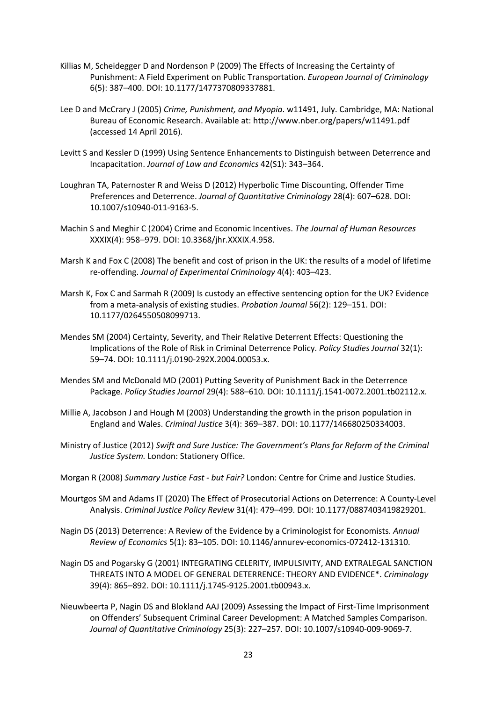- Killias M, Scheidegger D and Nordenson P (2009) The Effects of Increasing the Certainty of Punishment: A Field Experiment on Public Transportation. *European Journal of Criminology* 6(5): 387–400. DOI: 10.1177/1477370809337881.
- Lee D and McCrary J (2005) *Crime, Punishment, and Myopia*. w11491, July. Cambridge, MA: National Bureau of Economic Research. Available at: http://www.nber.org/papers/w11491.pdf (accessed 14 April 2016).
- Levitt S and Kessler D (1999) Using Sentence Enhancements to Distinguish between Deterrence and Incapacitation. *Journal of Law and Economics* 42(S1): 343–364.
- Loughran TA, Paternoster R and Weiss D (2012) Hyperbolic Time Discounting, Offender Time Preferences and Deterrence. *Journal of Quantitative Criminology* 28(4): 607–628. DOI: 10.1007/s10940-011-9163-5.
- Machin S and Meghir C (2004) Crime and Economic Incentives. *The Journal of Human Resources* XXXIX(4): 958–979. DOI: 10.3368/jhr.XXXIX.4.958.
- Marsh K and Fox C (2008) The benefit and cost of prison in the UK: the results of a model of lifetime re-offending. *Journal of Experimental Criminology* 4(4): 403–423.
- Marsh K, Fox C and Sarmah R (2009) Is custody an effective sentencing option for the UK? Evidence from a meta-analysis of existing studies. *Probation Journal* 56(2): 129–151. DOI: 10.1177/0264550508099713.
- Mendes SM (2004) Certainty, Severity, and Their Relative Deterrent Effects: Questioning the Implications of the Role of Risk in Criminal Deterrence Policy. *Policy Studies Journal* 32(1): 59–74. DOI: 10.1111/j.0190-292X.2004.00053.x.
- Mendes SM and McDonald MD (2001) Putting Severity of Punishment Back in the Deterrence Package. *Policy Studies Journal* 29(4): 588–610. DOI: 10.1111/j.1541-0072.2001.tb02112.x.
- Millie A, Jacobson J and Hough M (2003) Understanding the growth in the prison population in England and Wales. *Criminal Justice* 3(4): 369–387. DOI: 10.1177/146680250334003.
- Ministry of Justice (2012) *Swift and Sure Justice: The Government's Plans for Reform of the Criminal Justice System.* London: Stationery Office.
- Morgan R (2008) *Summary Justice Fast - but Fair?* London: Centre for Crime and Justice Studies.
- Mourtgos SM and Adams IT (2020) The Effect of Prosecutorial Actions on Deterrence: A County-Level Analysis. *Criminal Justice Policy Review* 31(4): 479–499. DOI: 10.1177/0887403419829201.
- Nagin DS (2013) Deterrence: A Review of the Evidence by a Criminologist for Economists. *Annual Review of Economics* 5(1): 83–105. DOI: 10.1146/annurev-economics-072412-131310.
- Nagin DS and Pogarsky G (2001) INTEGRATING CELERITY, IMPULSIVITY, AND EXTRALEGAL SANCTION THREATS INTO A MODEL OF GENERAL DETERRENCE: THEORY AND EVIDENCE\*. *Criminology* 39(4): 865–892. DOI: 10.1111/j.1745-9125.2001.tb00943.x.
- Nieuwbeerta P, Nagin DS and Blokland AAJ (2009) Assessing the Impact of First-Time Imprisonment on Offenders' Subsequent Criminal Career Development: A Matched Samples Comparison. *Journal of Quantitative Criminology* 25(3): 227–257. DOI: 10.1007/s10940-009-9069-7.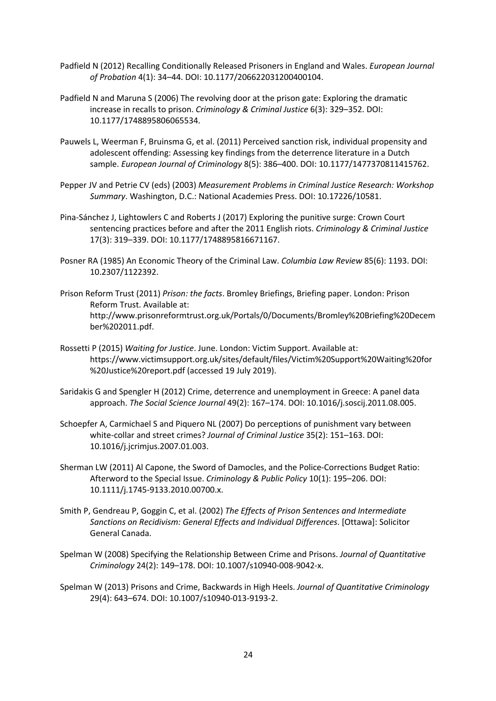- Padfield N (2012) Recalling Conditionally Released Prisoners in England and Wales. *European Journal of Probation* 4(1): 34–44. DOI: 10.1177/206622031200400104.
- Padfield N and Maruna S (2006) The revolving door at the prison gate: Exploring the dramatic increase in recalls to prison. *Criminology & Criminal Justice* 6(3): 329–352. DOI: 10.1177/1748895806065534.
- Pauwels L, Weerman F, Bruinsma G, et al. (2011) Perceived sanction risk, individual propensity and adolescent offending: Assessing key findings from the deterrence literature in a Dutch sample. *European Journal of Criminology* 8(5): 386–400. DOI: 10.1177/1477370811415762.
- Pepper JV and Petrie CV (eds) (2003) *Measurement Problems in Criminal Justice Research: Workshop Summary*. Washington, D.C.: National Academies Press. DOI: 10.17226/10581.
- Pina-Sánchez J, Lightowlers C and Roberts J (2017) Exploring the punitive surge: Crown Court sentencing practices before and after the 2011 English riots. *Criminology & Criminal Justice* 17(3): 319–339. DOI: 10.1177/1748895816671167.
- Posner RA (1985) An Economic Theory of the Criminal Law. *Columbia Law Review* 85(6): 1193. DOI: 10.2307/1122392.
- Prison Reform Trust (2011) *Prison: the facts*. Bromley Briefings, Briefing paper. London: Prison Reform Trust. Available at: http://www.prisonreformtrust.org.uk/Portals/0/Documents/Bromley%20Briefing%20Decem ber%202011.pdf.
- Rossetti P (2015) *Waiting for Justice*. June. London: Victim Support. Available at: https://www.victimsupport.org.uk/sites/default/files/Victim%20Support%20Waiting%20for %20Justice%20report.pdf (accessed 19 July 2019).
- Saridakis G and Spengler H (2012) Crime, deterrence and unemployment in Greece: A panel data approach. *The Social Science Journal* 49(2): 167–174. DOI: 10.1016/j.soscij.2011.08.005.
- Schoepfer A, Carmichael S and Piquero NL (2007) Do perceptions of punishment vary between white-collar and street crimes? *Journal of Criminal Justice* 35(2): 151–163. DOI: 10.1016/j.jcrimjus.2007.01.003.
- Sherman LW (2011) Al Capone, the Sword of Damocles, and the Police-Corrections Budget Ratio: Afterword to the Special Issue. *Criminology & Public Policy* 10(1): 195–206. DOI: 10.1111/j.1745-9133.2010.00700.x.
- Smith P, Gendreau P, Goggin C, et al. (2002) *The Effects of Prison Sentences and Intermediate Sanctions on Recidivism: General Effects and Individual Differences*. [Ottawa]: Solicitor General Canada.
- Spelman W (2008) Specifying the Relationship Between Crime and Prisons. *Journal of Quantitative Criminology* 24(2): 149–178. DOI: 10.1007/s10940-008-9042-x.
- Spelman W (2013) Prisons and Crime, Backwards in High Heels. *Journal of Quantitative Criminology* 29(4): 643–674. DOI: 10.1007/s10940-013-9193-2.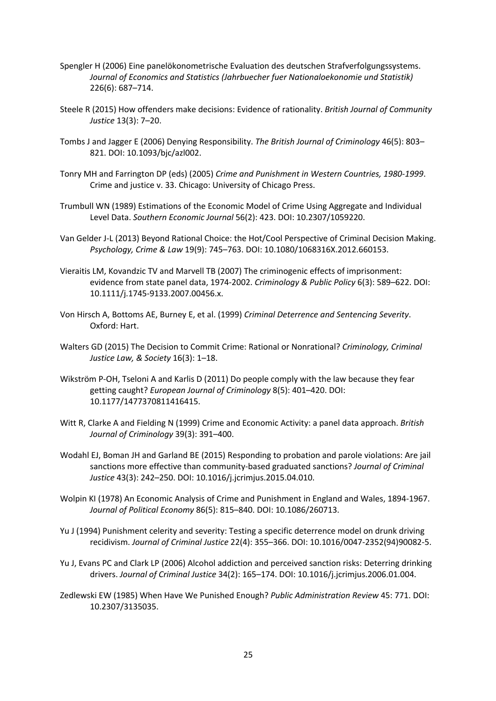- Spengler H (2006) Eine panelökonometrische Evaluation des deutschen Strafverfolgungssystems. *Journal of Economics and Statistics (Jahrbuecher fuer Nationaloekonomie und Statistik)* 226(6): 687–714.
- Steele R (2015) How offenders make decisions: Evidence of rationality. *British Journal of Community Justice* 13(3): 7–20.
- Tombs J and Jagger E (2006) Denying Responsibility. *The British Journal of Criminology* 46(5): 803– 821. DOI: 10.1093/bjc/azl002.
- Tonry MH and Farrington DP (eds) (2005) *Crime and Punishment in Western Countries, 1980-1999*. Crime and justice v. 33. Chicago: University of Chicago Press.
- Trumbull WN (1989) Estimations of the Economic Model of Crime Using Aggregate and Individual Level Data. *Southern Economic Journal* 56(2): 423. DOI: 10.2307/1059220.
- Van Gelder J-L (2013) Beyond Rational Choice: the Hot/Cool Perspective of Criminal Decision Making. *Psychology, Crime & Law* 19(9): 745–763. DOI: 10.1080/1068316X.2012.660153.
- Vieraitis LM, Kovandzic TV and Marvell TB (2007) The criminogenic effects of imprisonment: evidence from state panel data, 1974-2002. *Criminology & Public Policy* 6(3): 589–622. DOI: 10.1111/j.1745-9133.2007.00456.x.
- Von Hirsch A, Bottoms AE, Burney E, et al. (1999) *Criminal Deterrence and Sentencing Severity*. Oxford: Hart.
- Walters GD (2015) The Decision to Commit Crime: Rational or Nonrational? *Criminology, Criminal Justice Law, & Society* 16(3): 1–18.
- Wikström P-OH, Tseloni A and Karlis D (2011) Do people comply with the law because they fear getting caught? *European Journal of Criminology* 8(5): 401–420. DOI: 10.1177/1477370811416415.
- Witt R, Clarke A and Fielding N (1999) Crime and Economic Activity: a panel data approach. *British Journal of Criminology* 39(3): 391–400.
- Wodahl EJ, Boman JH and Garland BE (2015) Responding to probation and parole violations: Are jail sanctions more effective than community-based graduated sanctions? *Journal of Criminal Justice* 43(3): 242–250. DOI: 10.1016/j.jcrimjus.2015.04.010.
- Wolpin KI (1978) An Economic Analysis of Crime and Punishment in England and Wales, 1894-1967. *Journal of Political Economy* 86(5): 815–840. DOI: 10.1086/260713.
- Yu J (1994) Punishment celerity and severity: Testing a specific deterrence model on drunk driving recidivism. *Journal of Criminal Justice* 22(4): 355–366. DOI: 10.1016/0047-2352(94)90082-5.
- Yu J, Evans PC and Clark LP (2006) Alcohol addiction and perceived sanction risks: Deterring drinking drivers. *Journal of Criminal Justice* 34(2): 165–174. DOI: 10.1016/j.jcrimjus.2006.01.004.
- Zedlewski EW (1985) When Have We Punished Enough? *Public Administration Review* 45: 771. DOI: 10.2307/3135035.